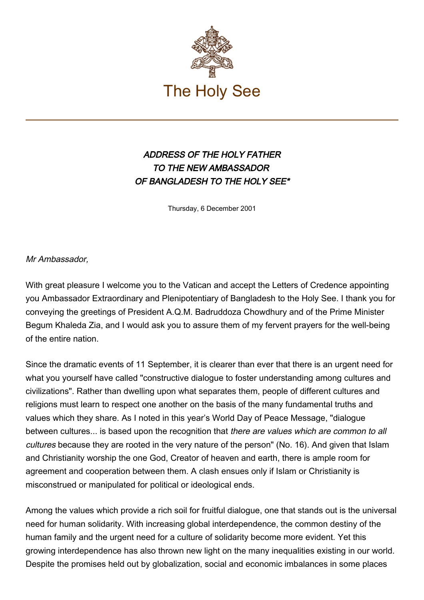

## ADDRESS OF THE HOLY FATHER TO THE NEW AMBASSADOR OF BANGLADESH TO THE HOLY SEE\*

Thursday, 6 December 2001

Mr Ambassador,

With great pleasure I welcome you to the Vatican and accept the Letters of Credence appointing you Ambassador Extraordinary and Plenipotentiary of Bangladesh to the Holy See. I thank you for conveying the greetings of President A.Q.M. Badruddoza Chowdhury and of the Prime Minister Begum Khaleda Zia, and I would ask you to assure them of my fervent prayers for the well-being of the entire nation.

Since the dramatic events of 11 September, it is clearer than ever that there is an urgent need for what you yourself have called "constructive dialogue to foster understanding among cultures and civilizations". Rather than dwelling upon what separates them, people of different cultures and religions must learn to respect one another on the basis of the many fundamental truths and values which they share. As I noted in this year's World Day of Peace Message, "dialogue between cultures... is based upon the recognition that there are values which are common to all cultures because they are rooted in the very nature of the person" (No. 16). And given that Islam and Christianity worship the one God, Creator of heaven and earth, there is ample room for agreement and cooperation between them. A clash ensues only if Islam or Christianity is misconstrued or manipulated for political or ideological ends.

Among the values which provide a rich soil for fruitful dialogue, one that stands out is the universal need for human solidarity. With increasing global interdependence, the common destiny of the human family and the urgent need for a culture of solidarity become more evident. Yet this growing interdependence has also thrown new light on the many inequalities existing in our world. Despite the promises held out by globalization, social and economic imbalances in some places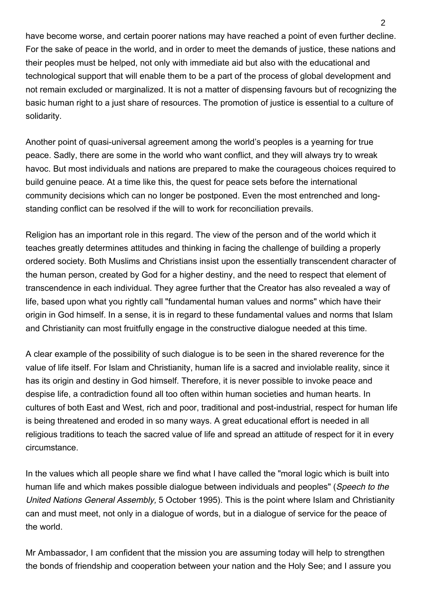have become worse, and certain poorer nations may have reached a point of even further decline. For the sake of peace in the world, and in order to meet the demands of justice, these nations and their peoples must be helped, not only with immediate aid but also with the educational and technological support that will enable them to be a part of the process of global development and not remain excluded or marginalized. It is not a matter of dispensing favours but of recognizing the basic human right to a just share of resources. The promotion of justice is essential to a culture of solidarity.

Another point of quasi-universal agreement among the world's peoples is a yearning for true peace. Sadly, there are some in the world who want conflict, and they will always try to wreak havoc. But most individuals and nations are prepared to make the courageous choices required to build genuine peace. At a time like this, the quest for peace sets before the international community decisions which can no longer be postponed. Even the most entrenched and longstanding conflict can be resolved if the will to work for reconciliation prevails.

Religion has an important role in this regard. The view of the person and of the world which it teaches greatly determines attitudes and thinking in facing the challenge of building a properly ordered society. Both Muslims and Christians insist upon the essentially transcendent character of the human person, created by God for a higher destiny, and the need to respect that element of transcendence in each individual. They agree further that the Creator has also revealed a way of life, based upon what you rightly call "fundamental human values and norms" which have their origin in God himself. In a sense, it is in regard to these fundamental values and norms that Islam and Christianity can most fruitfully engage in the constructive dialogue needed at this time.

A clear example of the possibility of such dialogue is to be seen in the shared reverence for the value of life itself. For Islam and Christianity, human life is a sacred and inviolable reality, since it has its origin and destiny in God himself. Therefore, it is never possible to invoke peace and despise life, a contradiction found all too often within human societies and human hearts. In cultures of both East and West, rich and poor, traditional and post-industrial, respect for human life is being threatened and eroded in so many ways. A great educational effort is needed in all religious traditions to teach the sacred value of life and spread an attitude of respect for it in every circumstance.

In the values which all people share we find what I have called the "moral logic which is built into human life and which makes possible dialogue between individuals and peoples" (Speech to the United Nations General Assembly, 5 October 1995). This is the point where Islam and Christianity can and must meet, not only in a dialogue of words, but in a dialogue of service for the peace of the world.

Mr Ambassador, I am confident that the mission you are assuming today will help to strengthen the bonds of friendship and cooperation between your nation and the Holy See; and I assure you

 $\mathfrak{p}$